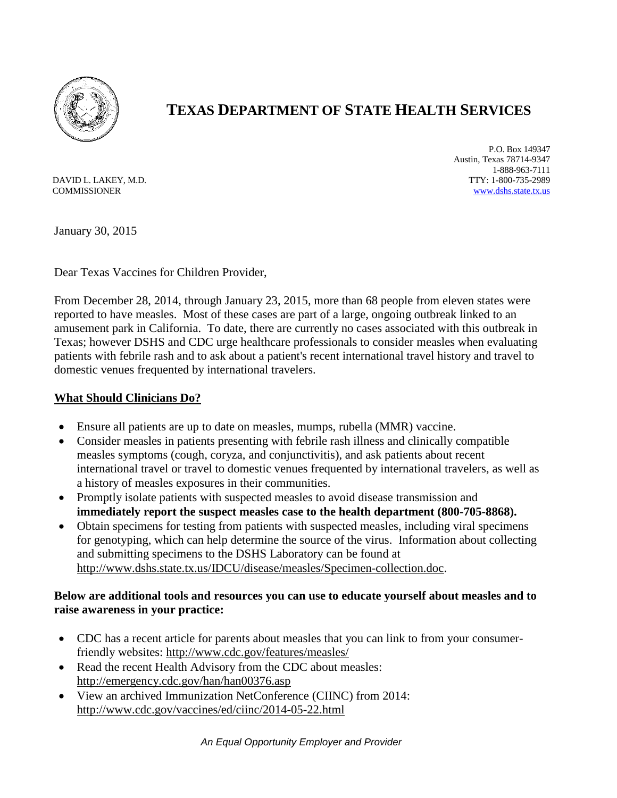

## **TEXAS DEPARTMENT OF STATE HEALTH SERVICES**

DAVID L. LAKEY, M.D. **COMMISSIONER** 

P.O. Box 149347 Austin, Texas 78714-9347 1-888-963-7111 TTY: 1-800-735-2989 [www.dshs.state.tx.us](http://www.dshs.state.tx.us/)

January 30, 2015

Dear Texas Vaccines for Children Provider,

From December 28, 2014, through January 23, 2015, more than 68 people from eleven states were reported to have measles. Most of these cases are part of a large, ongoing [outbreak linked to an](http://www.cdph.ca.gov/Pages/NR15-008.aspx)  [amusement park in California.](http://www.cdph.ca.gov/Pages/NR15-008.aspx) To date, there are currently no cases associated with this outbreak in Texas; however DSHS and CDC urge healthcare professionals to consider measles when evaluating patients with febrile rash and to ask about a patient's recent international travel history and travel to domestic venues frequented by international travelers.

## **What Should Clinicians Do?**

- Ensure all patients are up to date on measles, mumps, rubella (MMR) vaccine.
- Consider measles in patients presenting with febrile rash illness and clinically compatible measles symptoms (cough, coryza, and conjunctivitis), and ask patients about recent international travel or travel to domestic venues frequented by international travelers, as well as a history of measles exposures in their communities.
- Promptly isolate patients with suspected measles to avoid disease transmission and **immediately report the suspect measles case to the health department (800-705-8868).**
- Obtain specimens for testing from patients with suspected measles, including viral specimens for genotyping, which can help determine the source of the virus. Information about collecting and submitting specimens to the DSHS Laboratory can be found at [http://www.dshs.state.tx.us/IDCU/disease/measles/Specimen-collection.doc.](http://www.dshs.state.tx.us/IDCU/disease/measles/Specimen-collection.doc)

## **Below are additional tools and resources you can use to educate yourself about measles and to raise awareness in your practice:**

- CDC has a recent article for parents about measles that you can link to from your consumerfriendly websites:<http://www.cdc.gov/features/measles/>
- Read the recent Health Advisory from the CDC about measles: <http://emergency.cdc.gov/han/han00376.asp>
- View an archived Immunization NetConference (CIINC) from 2014: <http://www.cdc.gov/vaccines/ed/ciinc/2014-05-22.html>